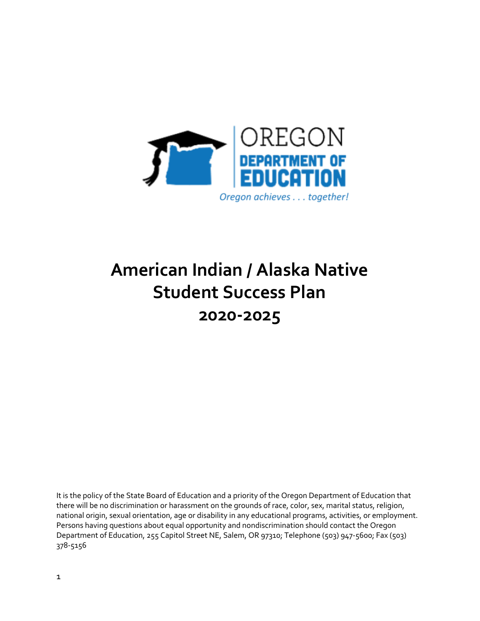

# **American Indian / Alaska Native Student Success Plan 2020-2025**

It is the policy of the State Board of Education and a priority of the Oregon Department of Education that there will be no discrimination or harassment on the grounds of race, color, sex, marital status, religion, national origin, sexual orientation, age or disability in any educational programs, activities, or employment. Persons having questions about equal opportunity and nondiscrimination should contact the Oregon Department of Education, 255 Capitol Street NE, Salem, OR 97310; Telephone (503) 947-5600; Fax (503) 378-5156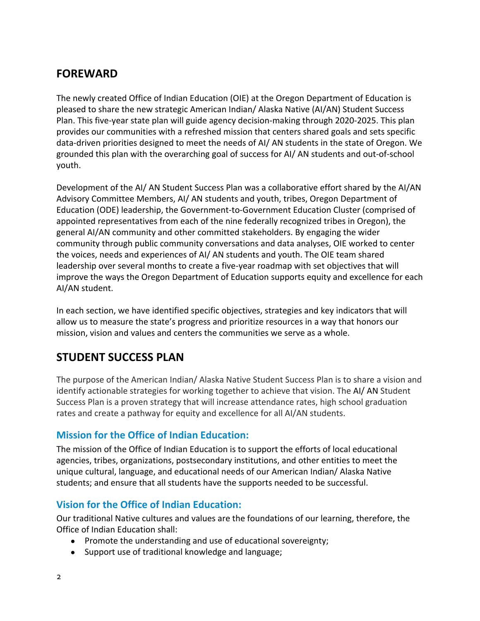### **FOREWARD**

The newly created Office of Indian Education (OIE) at the Oregon Department of Education is pleased to share the new strategic American Indian/ Alaska Native (AI/AN) Student Success Plan. This five-year state plan will guide agency decision-making through 2020-2025. This plan provides our communities with a refreshed mission that centers shared goals and sets specific data-driven priorities designed to meet the needs of AI/ AN students in the state of Oregon. We grounded this plan with the overarching goal of success for AI/ AN students and out-of-school youth.

Development of the AI/ AN Student Success Plan was a collaborative effort shared by the AI/AN Advisory Committee Members, AI/ AN students and youth, tribes, Oregon Department of Education (ODE) leadership, the Government-to-Government Education Cluster (comprised of appointed representatives from each of the nine federally recognized tribes in Oregon), the general AI/AN community and other committed stakeholders. By engaging the wider community through public community conversations and data analyses, OIE worked to center the voices, needs and experiences of AI/ AN students and youth. The OIE team shared leadership over several months to create a five-year roadmap with set objectives that will improve the ways the Oregon Department of Education supports equity and excellence for each AI/AN student.

In each section, we have identified specific objectives, strategies and key indicators that will allow us to measure the state's progress and prioritize resources in a way that honors our mission, vision and values and centers the communities we serve as a whole.

### **STUDENT SUCCESS PLAN**

The purpose of the American Indian/ Alaska Native Student Success Plan is to share a vision and identify actionable strategies for working together to achieve that vision. The AI/ AN Student Success Plan is a proven strategy that will increase attendance rates, high school graduation rates and create a pathway for equity and excellence for all AI/AN students.

#### **Mission for the Office of Indian Education:**

The mission of the Office of Indian Education is to support the efforts of local educational agencies, tribes, organizations, postsecondary institutions, and other entities to meet the unique cultural, language, and educational needs of our American Indian/ Alaska Native students; and ensure that all students have the supports needed to be successful.

#### **Vision for the Office of Indian Education:**

Our traditional Native cultures and values are the foundations of our learning, therefore, the Office of Indian Education shall:

- Promote the understanding and use of educational sovereignty;
- Support use of traditional knowledge and language;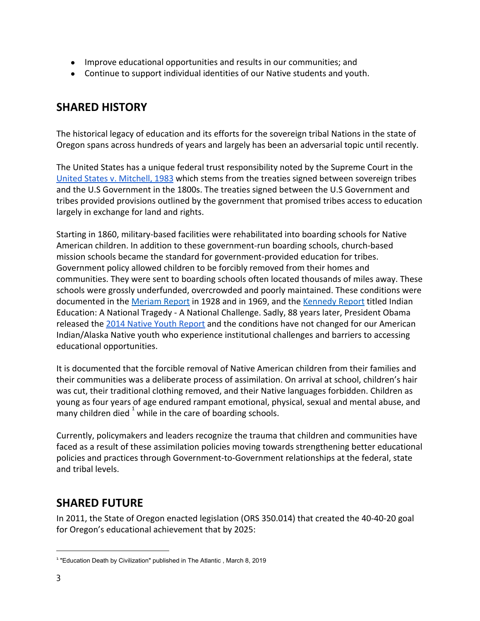- Improve educational opportunities and results in our communities; and
- Continue to support individual identities of our Native students and youth.

#### **SHARED HISTORY**

The historical legacy of education and its efforts for the sovereign tribal Nations in the state of Oregon spans across hundreds of years and largely has been an adversarial topic until recently.

The United States has a unique federal trust responsibility noted by the Supreme Court in the [United States v. Mitchell, 1983](https://supreme.justia.com/cases/federal/us/463/206/) which stems from the treaties signed between sovereign tribes and the U.S Government in the 1800s. The treaties signed between the U.S Government and tribes provided provisions outlined by the government that promised tribes access to education largely in exchange for land and rights.

Starting in 1860, military-based facilities were rehabilitated into boarding schools for Native American children. In addition to these government-run boarding schools, church-based mission schools became the standard for government-provided education for tribes. Government policy allowed children to be forcibly removed from their homes and communities. They were sent to boarding schools often located thousands of miles away. These schools were grossly underfunded, overcrowded and poorly maintained. These conditions were documented in the [Meriam Report](https://narf.org/nill/resources/meriam.html) in 1928 and in 1969, and the [Kennedy Report](https://narf.org/nill/resources/education/reports/kennedy/toc.html) titled Indian Education: A National Tragedy - A National Challenge. Sadly, 88 years later, President Obama released the [2014 Native Youth Report](https://obamawhitehouse.archives.gov/sites/default/files/docs/20141129nativeyouthreport_final.pdf) and the conditions have not changed for our American Indian/Alaska Native youth who experience institutional challenges and barriers to accessing educational opportunities.

It is documented that the forcible removal of Native American children from their families and their communities was a deliberate process of assimilation. On arrival at school, children's hair was cut, their traditional clothing removed, and their Native languages forbidden. Children as young as four years of age endured rampant emotional, physical, sexual and mental abuse, and many children died  $^{\dagger}$  while in the care of boarding schools.

Currently, policymakers and leaders recognize the trauma that children and communities have faced as a result of these assimilation policies moving towards strengthening better educational policies and practices through Government-to-Government relationships at the federal, state and tribal levels.

### **SHARED FUTURE**

In 2011, the State of Oregon enacted legislation (ORS 350.014) that created the 40-40-20 goal for Oregon's educational achievement that by 2025:

<sup>&</sup>lt;sup>1</sup> "Education Death by Civilization" published in The Atlantic, March 8, 2019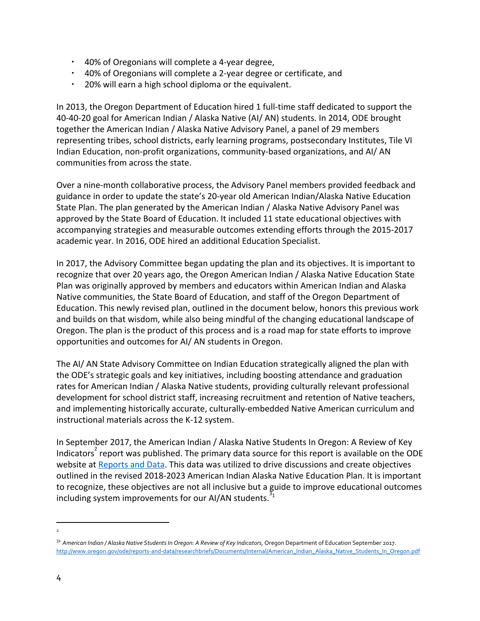- 40% of Oregonians will complete a 4-year degree,
- 40% of Oregonians will complete a 2-year degree or certificate, and
- 20% will earn a high school diploma or the equivalent.

In 2013, the Oregon Department of Education hired 1 full-time staff dedicated to support the 40-40-20 goal for American Indian / Alaska Native (AI/ AN) students. In 2014, ODE brought together the American Indian / Alaska Native Advisory Panel, a panel of 29 members representing tribes, school districts, early learning programs, postsecondary Institutes, Tile VI Indian Education, non-profit organizations, community-based organizations, and AI/ AN communities from across the state.

Over a nine-month collaborative process, the Advisory Panel members provided feedback and guidance in order to update the state's 20-year old American Indian/Alaska Native Education State Plan. The plan generated by the American Indian / Alaska Native Advisory Panel was approved by the State Board of Education. It included 11 state educational objectives with accompanying strategies and measurable outcomes extending efforts through the 2015-2017 academic year. In 2016, ODE hired an additional Education Specialist.

In 2017, the Advisory Committee began updating the plan and its objectives. It is important to recognize that over 20 years ago, the Oregon American Indian / Alaska Native Education State Plan was originally approved by members and educators within American Indian and Alaska Native communities, the State Board of Education, and staff of the Oregon Department of Education. This newly revised plan, outlined in the document below, honors this previous work and builds on that wisdom, while also being mindful of the changing educational landscape of Oregon. The plan is the product of this process and is a road map for state efforts to improve opportunities and outcomes for AI/ AN students in Oregon.

The AI/ AN State Advisory Committee on Indian Education strategically aligned the plan with the ODE's strategic goals and key initiatives, including boosting attendance and graduation rates for American Indian / Alaska Native students, providing culturally relevant professional development for school district staff, increasing recruitment and retention of Native teachers, and implementing historically accurate, culturally-embedded Native American curriculum and instructional materials across the K-12 system.

In September 2017, the American Indian / Alaska Native Students In Oregon: A Review of Key Indicators report was published. The primary data source for this report is available on the ODE website at [Reports](http://www.oregon.gov/ode/reports-and-data/Pages/default.aspx) and Data. This data was utilized to drive discussions and create objectives outlined in the revised 2018-2023 American Indian Alaska Native Education Plan. It is important to recognize, these objectives are not all inclusive but a guide to improve educational outcomes including system improvements for our AI/AN students.  $31$ 

<sup>2</sup>

<sup>31</sup> *American Indian / Alaska Native Students In Oregon: A Review of Key Indicators,* Oregon Department of Education September 2017. [http://www.oregon.gov/ode/reports-and-data/researchbriefs/Documents/Internal/American\\_Indian\\_Alaska\\_Native\\_Students\\_In\\_Oregon.pdf](http://www.oregon.gov/ode/reports-and-data/researchbriefs/Documents/Internal/American_Indian_Alaska_Native_Students_In_Oregon.pdf)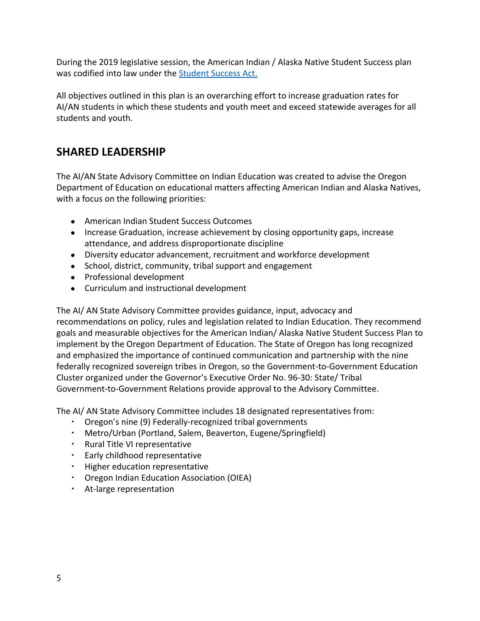During the 2019 legislative session, the American Indian / Alaska Native Student Success plan was codified into law under the **Student Success Act.** 

All objectives outlined in this plan is an overarching effort to increase graduation rates for AI/AN students in which these students and youth meet and exceed statewide averages for all students and youth.

### **SHARED LEADERSHIP**

The AI/AN State Advisory Committee on Indian Education was created to advise the Oregon Department of Education on educational matters affecting American Indian and Alaska Natives, with a focus on the following priorities:

- American Indian Student Success Outcomes
- Increase Graduation, increase achievement by closing opportunity gaps, increase attendance, and address disproportionate discipline
- Diversity educator advancement, recruitment and workforce development
- School, district, community, tribal support and engagement
- Professional development
- Curriculum and instructional development

The AI/ AN State Advisory Committee provides guidance, input, advocacy and recommendations on policy, rules and legislation related to Indian Education. They recommend goals and measurable objectives for the American Indian/ Alaska Native Student Success Plan to implement by the Oregon Department of Education. The State of Oregon has long recognized and emphasized the importance of continued communication and partnership with the nine federally recognized sovereign tribes in Oregon, so the Government-to-Government Education Cluster organized under the Governor's Executive Order No. 96-30: State/ Tribal Government-to-Government Relations provide approval to the Advisory Committee.

The AI/ AN State Advisory Committee includes 18 designated representatives from:

- Oregon's nine (9) Federally-recognized tribal governments
- Metro/Urban (Portland, Salem, Beaverton, Eugene/Springfield)
- Rural Title VI representative
- Early childhood representative
- Higher education representative
- Oregon Indian Education Association (OIEA)
- At-large representation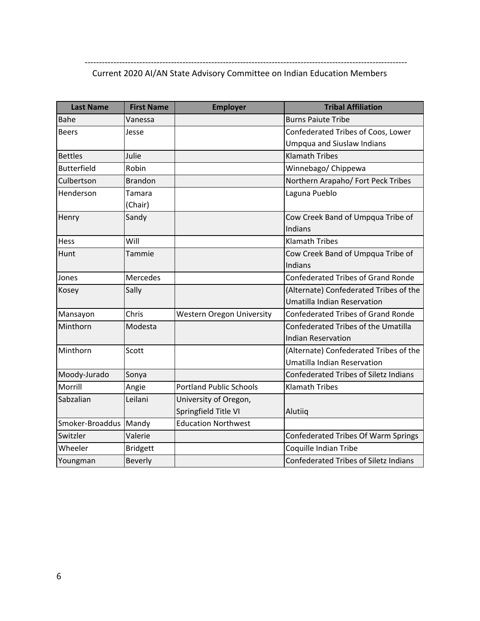#### ---------------------------------------------------------------------------------------------------------------- Current 2020 AI/AN State Advisory Committee on Indian Education Members

| <b>Last Name</b>        | <b>First Name</b> | <b>Employer</b>                  | <b>Tribal Affiliation</b>                    |
|-------------------------|-------------------|----------------------------------|----------------------------------------------|
| Bahe                    | Vanessa           |                                  | <b>Burns Paiute Tribe</b>                    |
| <b>Beers</b>            | Jesse             |                                  | Confederated Tribes of Coos, Lower           |
|                         |                   |                                  | <b>Umpqua and Siuslaw Indians</b>            |
| <b>Bettles</b>          | Julie             |                                  | <b>Klamath Tribes</b>                        |
| <b>Butterfield</b>      | Robin             |                                  | Winnebago/ Chippewa                          |
| Culbertson              | <b>Brandon</b>    |                                  | Northern Arapaho/ Fort Peck Tribes           |
| Henderson               | Tamara<br>(Chair) |                                  | Laguna Pueblo                                |
| Henry                   | Sandy             |                                  | Cow Creek Band of Umpqua Tribe of            |
|                         |                   |                                  | Indians                                      |
| Hess                    | Will              |                                  | <b>Klamath Tribes</b>                        |
| Hunt                    | Tammie            |                                  | Cow Creek Band of Umpqua Tribe of            |
|                         |                   |                                  | Indians                                      |
| Jones                   | Mercedes          |                                  | <b>Confederated Tribes of Grand Ronde</b>    |
| Kosey                   | Sally             |                                  | (Alternate) Confederated Tribes of the       |
|                         |                   |                                  | Umatilla Indian Reservation                  |
| Mansayon                | Chris             | <b>Western Oregon University</b> | <b>Confederated Tribes of Grand Ronde</b>    |
| Minthorn                | Modesta           |                                  | Confederated Tribes of the Umatilla          |
|                         |                   |                                  | <b>Indian Reservation</b>                    |
| Minthorn                | Scott             |                                  | (Alternate) Confederated Tribes of the       |
|                         |                   |                                  | Umatilla Indian Reservation                  |
| Moody-Jurado            | Sonya             |                                  | <b>Confederated Tribes of Siletz Indians</b> |
| Morrill                 | Angie             | <b>Portland Public Schools</b>   | <b>Klamath Tribes</b>                        |
| Sabzalian               | Leilani           | University of Oregon,            |                                              |
|                         |                   | Springfield Title VI             | Alutiiq                                      |
| Smoker-Broaddus   Mandy |                   | <b>Education Northwest</b>       |                                              |
| Switzler                | Valerie           |                                  | Confederated Tribes Of Warm Springs          |
| Wheeler                 | <b>Bridgett</b>   |                                  | Coquille Indian Tribe                        |
| Youngman                | Beverly           |                                  | Confederated Tribes of Siletz Indians        |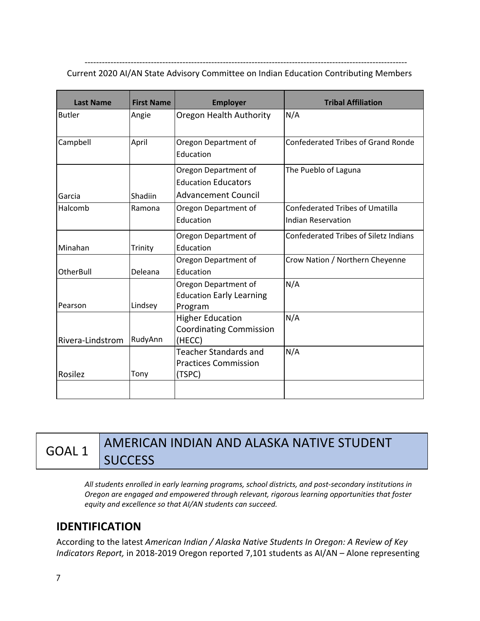---------------------------------------------------------------------------------------------------------------- Current 2020 AI/AN State Advisory Committee on Indian Education Contributing Members

| <b>Last Name</b> | <b>First Name</b> | <b>Employer</b>                                                                  | <b>Tribal Affiliation</b>                                           |
|------------------|-------------------|----------------------------------------------------------------------------------|---------------------------------------------------------------------|
| <b>Butler</b>    | Angie             | Oregon Health Authority                                                          | N/A                                                                 |
| Campbell         | April             | Oregon Department of<br>Education                                                | <b>Confederated Tribes of Grand Ronde</b>                           |
| Garcia           | Shadiin           | Oregon Department of<br><b>Education Educators</b><br><b>Advancement Council</b> | The Pueblo of Laguna                                                |
| Halcomb          | Ramona            | Oregon Department of<br>Education                                                | <b>Confederated Tribes of Umatilla</b><br><b>Indian Reservation</b> |
| Minahan          | Trinity           | Oregon Department of<br>Education                                                | <b>Confederated Tribes of Siletz Indians</b>                        |
| <b>OtherBull</b> | Deleana           | Oregon Department of<br>Education                                                | Crow Nation / Northern Cheyenne                                     |
| Pearson          | Lindsey           | Oregon Department of<br><b>Education Early Learning</b><br>Program               | N/A                                                                 |
| Rivera-Lindstrom | RudyAnn           | <b>Higher Education</b><br><b>Coordinating Commission</b><br>(HECC)              | N/A                                                                 |
| Rosilez          | Tony              | <b>Teacher Standards and</b><br><b>Practices Commission</b><br>(TSPC)            | N/A                                                                 |
|                  |                   |                                                                                  |                                                                     |

## GOAL 1 AMERICAN INDIAN AND ALASKA NATIVE STUDENT **SUCCESS**

*All students enrolled in early learning programs, school districts, and post-secondary institutions in Oregon are engaged and empowered through relevant, rigorous learning opportunities that foster equity and excellence so that AI/AN students can succeed.*

### **IDENTIFICATION**

According to the latest *American Indian / Alaska Native Students In Oregon: A Review of Key Indicators Report,* in 2018-2019 Oregon reported 7,101 students as AI/AN – Alone representing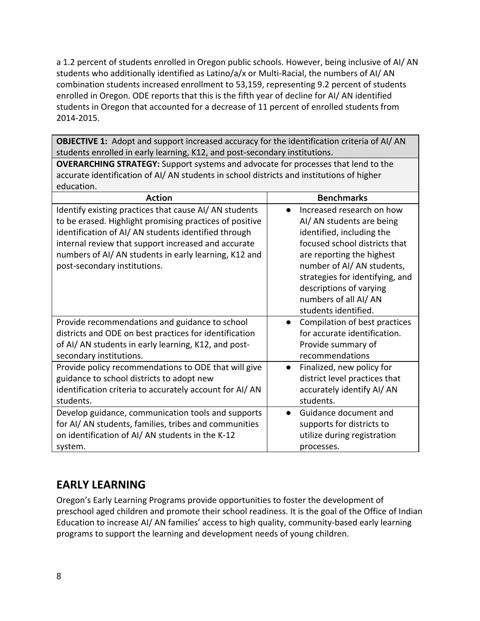a 1.2 percent of students enrolled in Oregon public schools. However, being inclusive of AI/ AN students who additionally identified as Latino/a/x or Multi-Racial, the numbers of AI/ AN combination students increased enrollment to 53,159, representing 9.2 percent of students enrolled in Oregon. ODE reports that this is the fifth year of decline for AI/ AN identified students in Oregon that accounted for a decrease of 11 percent of enrolled students from 2014-2015.

**OBJECTIVE 1:** Adopt and support increased accuracy for the identification criteria of AI/ AN students enrolled in early learning, K12, and post-secondary institutions.

**OVERARCHING STRATEGY:** Support systems and advocate for processes that lend to the accurate identification of AI/ AN students in school districts and institutions of higher education.

| <b>Action</b>                                                                                                                                                                                                                                                                                                           | <b>Benchmarks</b>                                                                                                                                                                                                                                                                            |
|-------------------------------------------------------------------------------------------------------------------------------------------------------------------------------------------------------------------------------------------------------------------------------------------------------------------------|----------------------------------------------------------------------------------------------------------------------------------------------------------------------------------------------------------------------------------------------------------------------------------------------|
| Identify existing practices that cause AI/AN students<br>to be erased. Highlight promising practices of positive<br>identification of AI/AN students identified through<br>internal review that support increased and accurate<br>numbers of AI/ AN students in early learning, K12 and<br>post-secondary institutions. | Increased research on how<br>AI/ AN students are being<br>identified, including the<br>focused school districts that<br>are reporting the highest<br>number of AI/AN students,<br>strategies for identifying, and<br>descriptions of varying<br>numbers of all AI/AN<br>students identified. |
| Provide recommendations and guidance to school<br>districts and ODE on best practices for identification<br>of AI/ AN students in early learning, K12, and post-<br>secondary institutions.                                                                                                                             | Compilation of best practices<br>$\bullet$<br>for accurate identification.<br>Provide summary of<br>recommendations                                                                                                                                                                          |
| Provide policy recommendations to ODE that will give<br>guidance to school districts to adopt new<br>identification criteria to accurately account for AI/AN<br>students.                                                                                                                                               | Finalized, new policy for<br>$\bullet$<br>district level practices that<br>accurately identify AI/ AN<br>students.                                                                                                                                                                           |
| Develop guidance, communication tools and supports<br>for AI/ AN students, families, tribes and communities<br>on identification of AI/AN students in the K-12<br>system.                                                                                                                                               | Guidance document and<br>$\bullet$<br>supports for districts to<br>utilize during registration<br>processes.                                                                                                                                                                                 |

### **EARLY LEARNING**

Oregon's Early Learning Programs provide opportunities to foster the development of preschool aged children and promote their school readiness. It is the goal of the Office of Indian Education to increase AI/ AN families' access to high quality, community-based early learning programs to support the learning and development needs of young children.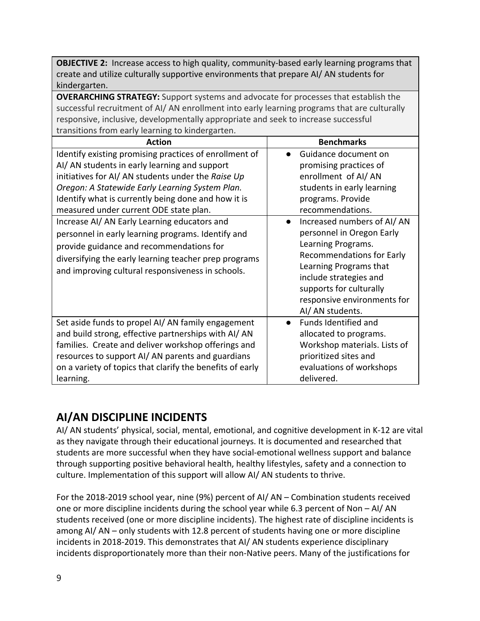**OBJECTIVE 2:** Increase access to high quality, community-based early learning programs that create and utilize culturally supportive environments that prepare AI/ AN students for kindergarten.

**OVERARCHING STRATEGY:** Support systems and advocate for processes that establish the successful recruitment of AI/ AN enrollment into early learning programs that are culturally responsive, inclusive, developmentally appropriate and seek to increase successful transitions from early learning to kindergarten.

| <b>Action</b>                                                                                                                                                                                                                                                | <b>Benchmarks</b>                                                                                                                                                                                                                                                |
|--------------------------------------------------------------------------------------------------------------------------------------------------------------------------------------------------------------------------------------------------------------|------------------------------------------------------------------------------------------------------------------------------------------------------------------------------------------------------------------------------------------------------------------|
| Identify existing promising practices of enrollment of                                                                                                                                                                                                       | Guidance document on                                                                                                                                                                                                                                             |
| AI/ AN students in early learning and support                                                                                                                                                                                                                | promising practices of                                                                                                                                                                                                                                           |
| initiatives for AI/AN students under the Raise Up                                                                                                                                                                                                            | enrollment of AI/AN                                                                                                                                                                                                                                              |
| Oregon: A Statewide Early Learning System Plan.                                                                                                                                                                                                              | students in early learning                                                                                                                                                                                                                                       |
| Identify what is currently being done and how it is                                                                                                                                                                                                          | programs. Provide                                                                                                                                                                                                                                                |
| measured under current ODE state plan.                                                                                                                                                                                                                       | recommendations.                                                                                                                                                                                                                                                 |
| Increase AI/ AN Early Learning educators and<br>personnel in early learning programs. Identify and<br>provide guidance and recommendations for<br>diversifying the early learning teacher prep programs<br>and improving cultural responsiveness in schools. | Increased numbers of AI/AN<br>$\bullet$<br>personnel in Oregon Early<br>Learning Programs.<br><b>Recommendations for Early</b><br>Learning Programs that<br>include strategies and<br>supports for culturally<br>responsive environments for<br>AI/ AN students. |
| Set aside funds to propel AI/AN family engagement                                                                                                                                                                                                            | Funds Identified and                                                                                                                                                                                                                                             |
| and build strong, effective partnerships with AI/AN                                                                                                                                                                                                          | allocated to programs.                                                                                                                                                                                                                                           |
| families. Create and deliver workshop offerings and                                                                                                                                                                                                          | Workshop materials. Lists of                                                                                                                                                                                                                                     |
| resources to support AI/AN parents and guardians                                                                                                                                                                                                             | prioritized sites and                                                                                                                                                                                                                                            |
| on a variety of topics that clarify the benefits of early                                                                                                                                                                                                    | evaluations of workshops                                                                                                                                                                                                                                         |
| learning.                                                                                                                                                                                                                                                    | delivered.                                                                                                                                                                                                                                                       |

## **AI/AN DISCIPLINE INCIDENTS**

AI/ AN students' physical, social, mental, emotional, and cognitive development in K-12 are vital as they navigate through their educational journeys. It is documented and researched that students are more successful when they have social-emotional wellness support and balance through supporting positive behavioral health, healthy lifestyles, safety and a connection to culture. Implementation of this support will allow AI/ AN students to thrive.

For the 2018-2019 school year, nine (9%) percent of AI/ AN – Combination students received one or more discipline incidents during the school year while 6.3 percent of Non – AI/ AN students received (one or more discipline incidents). The highest rate of discipline incidents is among AI/ AN – only students with 12.8 percent of students having one or more discipline incidents in 2018-2019. This demonstrates that AI/ AN students experience disciplinary incidents disproportionately more than their non-Native peers. Many of the justifications for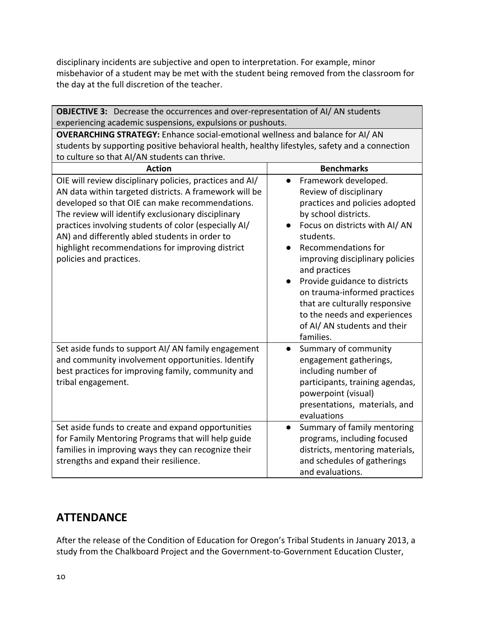disciplinary incidents are subjective and open to interpretation. For example, minor misbehavior of a student may be met with the student being removed from the classroom for the day at the full discretion of the teacher.

| <b>OBJECTIVE 3:</b> Decrease the occurrences and over-representation of AI/AN students                                                                                                                                                                                                                                                                                                                                                 |                                                                                                                                                                                                                                                                                                                                                                                   |  |  |
|----------------------------------------------------------------------------------------------------------------------------------------------------------------------------------------------------------------------------------------------------------------------------------------------------------------------------------------------------------------------------------------------------------------------------------------|-----------------------------------------------------------------------------------------------------------------------------------------------------------------------------------------------------------------------------------------------------------------------------------------------------------------------------------------------------------------------------------|--|--|
| experiencing academic suspensions, expulsions or pushouts.                                                                                                                                                                                                                                                                                                                                                                             |                                                                                                                                                                                                                                                                                                                                                                                   |  |  |
| <b>OVERARCHING STRATEGY:</b> Enhance social-emotional wellness and balance for AI/AN<br>students by supporting positive behavioral health, healthy lifestyles, safety and a connection                                                                                                                                                                                                                                                 |                                                                                                                                                                                                                                                                                                                                                                                   |  |  |
| to culture so that AI/AN students can thrive.                                                                                                                                                                                                                                                                                                                                                                                          | <b>Benchmarks</b>                                                                                                                                                                                                                                                                                                                                                                 |  |  |
| <b>Action</b><br>OIE will review disciplinary policies, practices and AI/<br>AN data within targeted districts. A framework will be<br>developed so that OIE can make recommendations.<br>The review will identify exclusionary disciplinary<br>practices involving students of color (especially AI/<br>AN) and differently abled students in order to<br>highlight recommendations for improving district<br>policies and practices. | Framework developed.<br>$\bullet$<br>Review of disciplinary<br>practices and policies adopted<br>by school districts.<br>Focus on districts with AI/AN<br>students.<br>Recommendations for<br>improving disciplinary policies<br>and practices<br>Provide guidance to districts<br>on trauma-informed practices<br>that are culturally responsive<br>to the needs and experiences |  |  |
| Set aside funds to support AI/AN family engagement<br>and community involvement opportunities. Identify<br>best practices for improving family, community and<br>tribal engagement.                                                                                                                                                                                                                                                    | of AI/ AN students and their<br>families.<br>Summary of community<br>$\bullet$<br>engagement gatherings,<br>including number of<br>participants, training agendas,<br>powerpoint (visual)<br>presentations, materials, and<br>evaluations                                                                                                                                         |  |  |
| Set aside funds to create and expand opportunities<br>for Family Mentoring Programs that will help guide<br>families in improving ways they can recognize their<br>strengths and expand their resilience.                                                                                                                                                                                                                              | Summary of family mentoring<br>$\bullet$<br>programs, including focused<br>districts, mentoring materials,<br>and schedules of gatherings<br>and evaluations.                                                                                                                                                                                                                     |  |  |

#### **ATTENDANCE**

After the release of the Condition of Education for Oregon's Tribal Students in January 2013, a study from the Chalkboard Project and the Government-to-Government Education Cluster,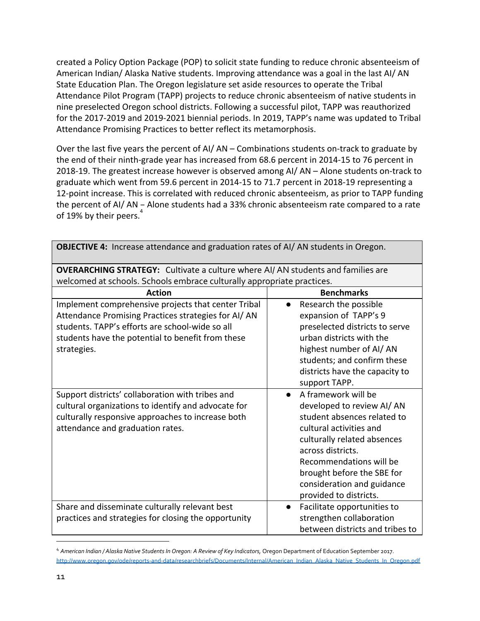created a Policy Option Package (POP) to solicit state funding to reduce chronic absenteeism of American Indian/ Alaska Native students. Improving attendance was a goal in the last AI/ AN State Education Plan. The Oregon legislature set aside resources to operate the Tribal Attendance Pilot Program (TAPP) projects to reduce chronic absenteeism of native students in nine preselected Oregon school districts. Following a successful pilot, TAPP was reauthorized for the 2017-2019 and 2019-2021 biennial periods. In 2019, TAPP's name was updated to Tribal Attendance Promising Practices to better reflect its metamorphosis.

Over the last five years the percent of AI/ AN – Combinations students on-track to graduate by the end of their ninth-grade year has increased from 68.6 percent in 2014-15 to 76 percent in 2018-19. The greatest increase however is observed among AI/ AN – Alone students on-track to graduate which went from 59.6 percent in 2014-15 to 71.7 percent in 2018-19 representing a 12-point increase. This is correlated with reduced chronic absenteeism, as prior to TAPP funding the percent of AI/ AN – Alone students had a 33% chronic absenteeism rate compared to a rate of 19% by their peers.<sup>4</sup>

| <b>ODJECTIVE 4.</b> THUI CASC ALLCHUATIC AND BRAUGHON PACS OF AIT AIN SLUUCHUS IN OFCROH.                                                                                                                                         |                                                                                                                                                                                                                                                                                              |  |  |
|-----------------------------------------------------------------------------------------------------------------------------------------------------------------------------------------------------------------------------------|----------------------------------------------------------------------------------------------------------------------------------------------------------------------------------------------------------------------------------------------------------------------------------------------|--|--|
| <b>OVERARCHING STRATEGY:</b> Cultivate a culture where AI/AN students and families are                                                                                                                                            |                                                                                                                                                                                                                                                                                              |  |  |
| welcomed at schools. Schools embrace culturally appropriate practices.                                                                                                                                                            |                                                                                                                                                                                                                                                                                              |  |  |
| <b>Action</b>                                                                                                                                                                                                                     | <b>Benchmarks</b>                                                                                                                                                                                                                                                                            |  |  |
| Implement comprehensive projects that center Tribal<br>Attendance Promising Practices strategies for AI/AN<br>students. TAPP's efforts are school-wide so all<br>students have the potential to benefit from these<br>strategies. | Research the possible<br>expansion of TAPP's 9<br>preselected districts to serve<br>urban districts with the<br>highest number of AI/AN<br>students; and confirm these                                                                                                                       |  |  |
|                                                                                                                                                                                                                                   | districts have the capacity to<br>support TAPP.                                                                                                                                                                                                                                              |  |  |
| Support districts' collaboration with tribes and<br>cultural organizations to identify and advocate for<br>culturally responsive approaches to increase both<br>attendance and graduation rates.                                  | A framework will be<br>$\bullet$<br>developed to review AI/AN<br>student absences related to<br>cultural activities and<br>culturally related absences<br>across districts.<br>Recommendations will be<br>brought before the SBE for<br>consideration and guidance<br>provided to districts. |  |  |
| Share and disseminate culturally relevant best<br>practices and strategies for closing the opportunity                                                                                                                            | Facilitate opportunities to<br>$\bullet$<br>strengthen collaboration<br>between districts and tribes to                                                                                                                                                                                      |  |  |

**OBJECTIVE 4:** Increase attendance and graduation rates of AI/ AN students in Oregon.

<sup>4</sup> *American Indian / Alaska Native Students In Oregon: A Review of Key Indicators,* Oregon Department of Education September 2017. [http://www.oregon.gov/ode/reports-and-data/researchbriefs/Documents/Internal/American\\_Indian\\_Alaska\\_Native\\_Students\\_In\\_Oregon.pdf](http://www.oregon.gov/ode/reports-and-data/researchbriefs/Documents/Internal/American_Indian_Alaska_Native_Students_In_Oregon.pdf)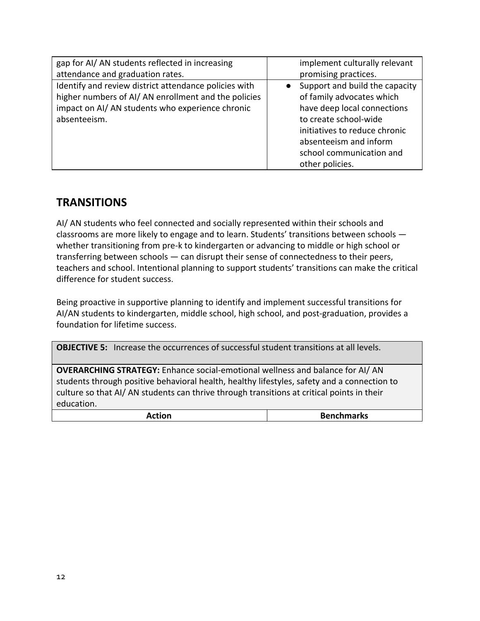| gap for AI/ AN students reflected in increasing       | implement culturally relevant  |
|-------------------------------------------------------|--------------------------------|
| attendance and graduation rates.                      | promising practices.           |
| Identify and review district attendance policies with | Support and build the capacity |
| higher numbers of AI/AN enrollment and the policies   | of family advocates which      |
| impact on AI/ AN students who experience chronic      | have deep local connections    |
| absenteeism.                                          | to create school-wide          |
|                                                       | initiatives to reduce chronic  |
|                                                       | absenteeism and inform         |
|                                                       | school communication and       |
|                                                       | other policies.                |

#### **TRANSITIONS**

AI/ AN students who feel connected and socially represented within their schools and classrooms are more likely to engage and to learn. Students' transitions between schools whether transitioning from pre-k to kindergarten or advancing to middle or high school or transferring between schools — can disrupt their sense of connectedness to their peers, teachers and school. Intentional planning to support students' transitions can make the critical difference for student success.

Being proactive in supportive planning to identify and implement successful transitions for AI/AN students to kindergarten, middle school, high school, and post-graduation, provides a foundation for lifetime success.

**OBJECTIVE 5:** Increase the occurrences of successful student transitions at all levels.

**OVERARCHING STRATEGY:** Enhance social-emotional wellness and balance for AI/ AN students through positive behavioral health, healthy lifestyles, safety and a connection to culture so that AI/ AN students can thrive through transitions at critical points in their education.

| Action<br><b>Benchmarks</b> |
|-----------------------------|
|-----------------------------|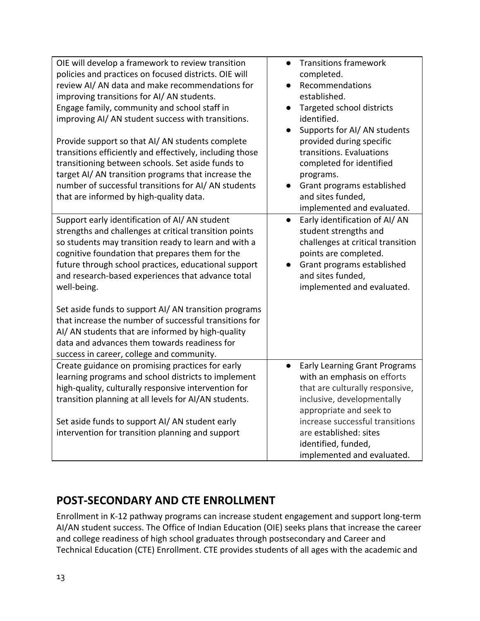| OIE will develop a framework to review transition<br>policies and practices on focused districts. OIE will<br>review AI/AN data and make recommendations for<br>improving transitions for AI/AN students.<br>Engage family, community and school staff in<br>improving AI/ AN student success with transitions.<br>Provide support so that AI/AN students complete<br>transitions efficiently and effectively, including those<br>transitioning between schools. Set aside funds to<br>target AI/ AN transition programs that increase the<br>number of successful transitions for AI/ AN students<br>that are informed by high-quality data. | <b>Transitions framework</b><br>$\bullet$<br>completed.<br>Recommendations<br>established.<br>Targeted school districts<br>$\bullet$<br>identified.<br>Supports for AI/AN students<br>$\bullet$<br>provided during specific<br>transitions. Evaluations<br>completed for identified<br>programs.<br>Grant programs established<br>and sites funded,<br>implemented and evaluated. |
|-----------------------------------------------------------------------------------------------------------------------------------------------------------------------------------------------------------------------------------------------------------------------------------------------------------------------------------------------------------------------------------------------------------------------------------------------------------------------------------------------------------------------------------------------------------------------------------------------------------------------------------------------|-----------------------------------------------------------------------------------------------------------------------------------------------------------------------------------------------------------------------------------------------------------------------------------------------------------------------------------------------------------------------------------|
| Support early identification of AI/AN student<br>strengths and challenges at critical transition points<br>so students may transition ready to learn and with a<br>cognitive foundation that prepares them for the<br>future through school practices, educational support<br>and research-based experiences that advance total<br>well-being.<br>Set aside funds to support AI/ AN transition programs<br>that increase the number of successful transitions for<br>AI/ AN students that are informed by high-quality<br>data and advances them towards readiness for<br>success in career, college and community.                           | Early identification of AI/AN<br>$\bullet$<br>student strengths and<br>challenges at critical transition<br>points are completed.<br>Grant programs established<br>and sites funded,<br>implemented and evaluated.                                                                                                                                                                |
| Create guidance on promising practices for early<br>learning programs and school districts to implement<br>high-quality, culturally responsive intervention for<br>transition planning at all levels for AI/AN students.<br>Set aside funds to support AI/ AN student early<br>intervention for transition planning and support                                                                                                                                                                                                                                                                                                               | <b>Early Learning Grant Programs</b><br>$\bullet$<br>with an emphasis on efforts<br>that are culturally responsive,<br>inclusive, developmentally<br>appropriate and seek to<br>increase successful transitions<br>are established: sites<br>identified, funded,<br>implemented and evaluated.                                                                                    |

## **POST-SECONDARY AND CTE ENROLLMENT**

Enrollment in K-12 pathway programs can increase student engagement and support long-term AI/AN student success. The Office of Indian Education (OIE) seeks plans that increase the career and college readiness of high school graduates through postsecondary and Career and Technical Education (CTE) Enrollment. CTE provides students of all ages with the academic and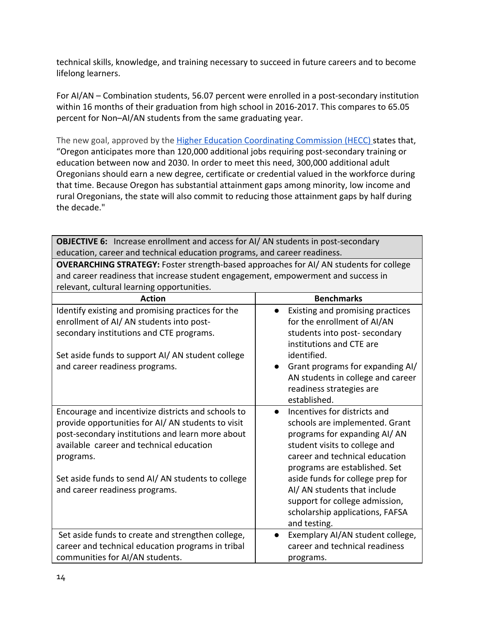technical skills, knowledge, and training necessary to succeed in future careers and to become lifelong learners.

For AI/AN – Combination students, 56.07 percent were enrolled in a post-secondary institution within 16 months of their graduation from high school in 2016-2017. This compares to 65.05 percent for Non–AI/AN students from the same graduating year.

The new goal, approved by the **Higher Education Coordinating Commission (HECC)** states that, "Oregon anticipates more than 120,000 additional jobs requiring post-secondary training or education between now and 2030. In order to meet this need, 300,000 additional adult Oregonians should earn a new degree, certificate or credential valued in the workforce during that time. Because Oregon has substantial attainment gaps among minority, low income and rural Oregonians, the state will also commit to reducing those attainment gaps by half during the decade."

**OBJECTIVE 6:** Increase enrollment and access for AI/ AN students in post-secondary education, career and technical education programs, and career readiness.

**OVERARCHING STRATEGY:** Foster strength-based approaches for AI/ AN students for college and career readiness that increase student engagement, empowerment and success in relevant, cultural learning opportunities.

| <b>Action</b>                                                                                                                                                                                                                                                             | <b>Benchmarks</b>                                                                                                                                                                                                                                                             |
|---------------------------------------------------------------------------------------------------------------------------------------------------------------------------------------------------------------------------------------------------------------------------|-------------------------------------------------------------------------------------------------------------------------------------------------------------------------------------------------------------------------------------------------------------------------------|
| Identify existing and promising practices for the<br>enrollment of AI/ AN students into post-<br>secondary institutions and CTE programs.<br>Set aside funds to support AI/ AN student college<br>and career readiness programs.                                          | Existing and promising practices<br>for the enrollment of AI/AN<br>students into post- secondary<br>institutions and CTE are<br>identified.<br>Grant programs for expanding AI/<br>$\bullet$<br>AN students in college and career<br>readiness strategies are<br>established. |
| Encourage and incentivize districts and schools to<br>provide opportunities for AI/AN students to visit<br>post-secondary institutions and learn more about<br>available career and technical education<br>programs.<br>Set aside funds to send AI/AN students to college | Incentives for districts and<br>$\bullet$<br>schools are implemented. Grant<br>programs for expanding AI/AN<br>student visits to college and<br>career and technical education<br>programs are established. Set<br>aside funds for college prep for                           |
| and career readiness programs.                                                                                                                                                                                                                                            | AI/ AN students that include<br>support for college admission,<br>scholarship applications, FAFSA<br>and testing.                                                                                                                                                             |
| Set aside funds to create and strengthen college,                                                                                                                                                                                                                         | Exemplary AI/AN student college,<br>$\bullet$                                                                                                                                                                                                                                 |
| career and technical education programs in tribal                                                                                                                                                                                                                         | career and technical readiness                                                                                                                                                                                                                                                |
| communities for AI/AN students.                                                                                                                                                                                                                                           | programs.                                                                                                                                                                                                                                                                     |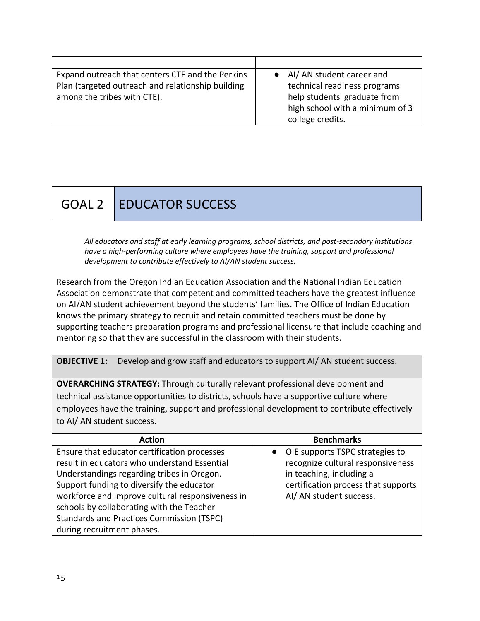| Expand outreach that centers CTE and the Perkins  | • Al/AN student career and      |
|---------------------------------------------------|---------------------------------|
| Plan (targeted outreach and relationship building | technical readiness programs    |
| among the tribes with CTE).                       | help students graduate from     |
|                                                   | high school with a minimum of 3 |
|                                                   | college credits.                |

# GOAL 2 EDUCATOR SUCCESS

*All educators and staff at early learning programs, school districts, and post-secondary institutions have a high-performing culture where employees have the training, support and professional development to contribute effectively to AI/AN student success.*

Research from the Oregon Indian Education Association and the National Indian Education Association demonstrate that competent and committed teachers have the greatest influence on AI/AN student achievement beyond the students' families. The Office of Indian Education knows the primary strategy to recruit and retain committed teachers must be done by supporting teachers preparation programs and professional licensure that include coaching and mentoring so that they are successful in the classroom with their students.

**OBJECTIVE 1:** Develop and grow staff and educators to support AI/ AN student success.

**OVERARCHING STRATEGY:** Through culturally relevant professional development and technical assistance opportunities to districts, schools have a supportive culture where employees have the training, support and professional development to contribute effectively to AI/ AN student success.

| <b>Benchmarks</b>                                                                                                                                                    |
|----------------------------------------------------------------------------------------------------------------------------------------------------------------------|
| • OIE supports TSPC strategies to<br>recognize cultural responsiveness<br>in teaching, including a<br>certification process that supports<br>AI/ AN student success. |
|                                                                                                                                                                      |
|                                                                                                                                                                      |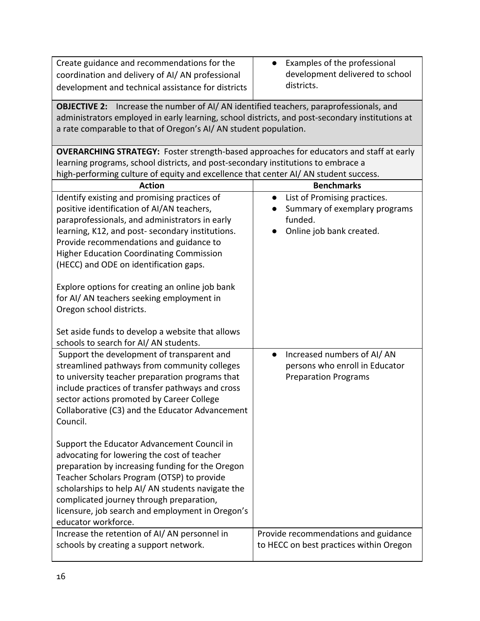| Create guidance and recommendations for the<br>coordination and delivery of AI/AN professional<br>development and technical assistance for districts                                                                                                                    | Examples of the professional<br>development delivered to school<br>districts. |  |  |
|-------------------------------------------------------------------------------------------------------------------------------------------------------------------------------------------------------------------------------------------------------------------------|-------------------------------------------------------------------------------|--|--|
| Increase the number of AI/ AN identified teachers, paraprofessionals, and<br><b>OBJECTIVE 2:</b><br>administrators employed in early learning, school districts, and post-secondary institutions at<br>a rate comparable to that of Oregon's AI/ AN student population. |                                                                               |  |  |
| <b>OVERARCHING STRATEGY:</b> Foster strength-based approaches for educators and staff at early                                                                                                                                                                          |                                                                               |  |  |
| learning programs, school districts, and post-secondary institutions to embrace a                                                                                                                                                                                       |                                                                               |  |  |
| high-performing culture of equity and excellence that center AI/ AN student success.                                                                                                                                                                                    |                                                                               |  |  |
| <b>Action</b>                                                                                                                                                                                                                                                           | <b>Benchmarks</b>                                                             |  |  |
| Identify existing and promising practices of                                                                                                                                                                                                                            | List of Promising practices.<br>$\bullet$                                     |  |  |
| positive identification of AI/AN teachers,<br>paraprofessionals, and administrators in early                                                                                                                                                                            | Summary of exemplary programs<br>funded.                                      |  |  |
| learning, K12, and post- secondary institutions.                                                                                                                                                                                                                        | Online job bank created.                                                      |  |  |
| Provide recommendations and guidance to                                                                                                                                                                                                                                 |                                                                               |  |  |
| <b>Higher Education Coordinating Commission</b>                                                                                                                                                                                                                         |                                                                               |  |  |
| (HECC) and ODE on identification gaps.                                                                                                                                                                                                                                  |                                                                               |  |  |
|                                                                                                                                                                                                                                                                         |                                                                               |  |  |
| Explore options for creating an online job bank                                                                                                                                                                                                                         |                                                                               |  |  |
| for AI/AN teachers seeking employment in                                                                                                                                                                                                                                |                                                                               |  |  |
| Oregon school districts.                                                                                                                                                                                                                                                |                                                                               |  |  |
|                                                                                                                                                                                                                                                                         |                                                                               |  |  |
| Set aside funds to develop a website that allows                                                                                                                                                                                                                        |                                                                               |  |  |
| schools to search for AI/AN students.                                                                                                                                                                                                                                   |                                                                               |  |  |
| Support the development of transparent and                                                                                                                                                                                                                              | Increased numbers of AI/AN<br>$\bullet$                                       |  |  |
| streamlined pathways from community colleges                                                                                                                                                                                                                            | persons who enroll in Educator                                                |  |  |
| to university teacher preparation programs that                                                                                                                                                                                                                         | <b>Preparation Programs</b>                                                   |  |  |
| include practices of transfer pathways and cross                                                                                                                                                                                                                        |                                                                               |  |  |
| sector actions promoted by Career College                                                                                                                                                                                                                               |                                                                               |  |  |
| Collaborative (C3) and the Educator Advancement                                                                                                                                                                                                                         |                                                                               |  |  |
| Council.                                                                                                                                                                                                                                                                |                                                                               |  |  |
| Support the Educator Advancement Council in                                                                                                                                                                                                                             |                                                                               |  |  |
| advocating for lowering the cost of teacher                                                                                                                                                                                                                             |                                                                               |  |  |
| preparation by increasing funding for the Oregon                                                                                                                                                                                                                        |                                                                               |  |  |
| Teacher Scholars Program (OTSP) to provide                                                                                                                                                                                                                              |                                                                               |  |  |
| scholarships to help AI/AN students navigate the                                                                                                                                                                                                                        |                                                                               |  |  |
| complicated journey through preparation,                                                                                                                                                                                                                                |                                                                               |  |  |
| licensure, job search and employment in Oregon's                                                                                                                                                                                                                        |                                                                               |  |  |
| educator workforce.                                                                                                                                                                                                                                                     |                                                                               |  |  |
| Increase the retention of AI/AN personnel in                                                                                                                                                                                                                            | Provide recommendations and guidance                                          |  |  |
| schools by creating a support network.                                                                                                                                                                                                                                  | to HECC on best practices within Oregon                                       |  |  |
|                                                                                                                                                                                                                                                                         |                                                                               |  |  |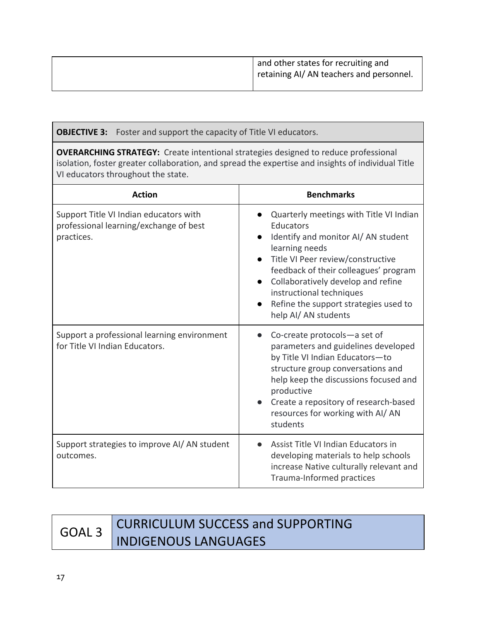| and other states for recruiting and<br>retaining AI/ AN teachers and personnel. |
|---------------------------------------------------------------------------------|
|                                                                                 |

| <b>OBJECTIVE 3:</b> Foster and support the capacity of Title VI educators.                                                                                                                                                             |                                                                                                                                                                                                                                                                                                                                                            |  |
|----------------------------------------------------------------------------------------------------------------------------------------------------------------------------------------------------------------------------------------|------------------------------------------------------------------------------------------------------------------------------------------------------------------------------------------------------------------------------------------------------------------------------------------------------------------------------------------------------------|--|
| <b>OVERARCHING STRATEGY:</b> Create intentional strategies designed to reduce professional<br>isolation, foster greater collaboration, and spread the expertise and insights of individual Title<br>VI educators throughout the state. |                                                                                                                                                                                                                                                                                                                                                            |  |
| <b>Action</b>                                                                                                                                                                                                                          | <b>Benchmarks</b>                                                                                                                                                                                                                                                                                                                                          |  |
| Support Title VI Indian educators with<br>professional learning/exchange of best<br>practices.                                                                                                                                         | • Quarterly meetings with Title VI Indian<br>Educators<br>Identify and monitor AI/ AN student<br>$\bullet$<br>learning needs<br>Title VI Peer review/constructive<br>feedback of their colleagues' program<br>Collaboratively develop and refine<br>$\bullet$<br>instructional techniques<br>Refine the support strategies used to<br>help AI/ AN students |  |
| Support a professional learning environment<br>for Title VI Indian Educators.                                                                                                                                                          | Co-create protocols-a set of<br>$\bullet$<br>parameters and guidelines developed<br>by Title VI Indian Educators-to<br>structure group conversations and<br>help keep the discussions focused and<br>productive<br>Create a repository of research-based<br>resources for working with AI/AN<br>students                                                   |  |
| Support strategies to improve AI/ AN student<br>outcomes.                                                                                                                                                                              | Assist Title VI Indian Educators in<br>developing materials to help schools<br>increase Native culturally relevant and<br>Trauma-Informed practices                                                                                                                                                                                                        |  |

# GOAL 3 CURRICULUM SUCCESS and SUPPORTING INDIGENOUS LANGUAGES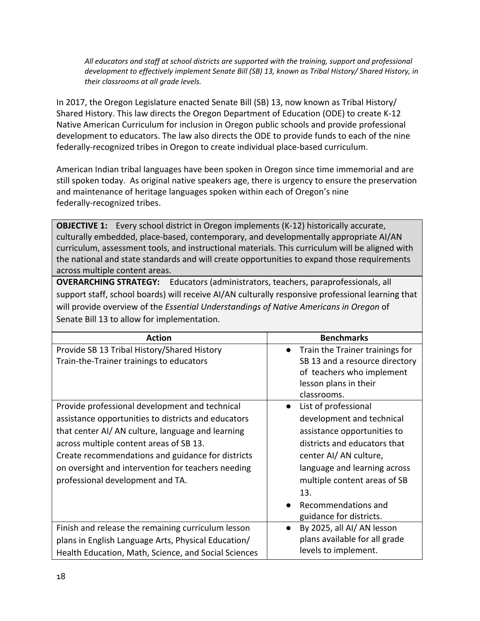*All educators and staff at school districts are supported with the training, support and professional development to effectively implement Senate Bill (SB) 13, known as Tribal History/ Shared History, in their classrooms at all grade levels.*

In 2017, the Oregon Legislature enacted Senate Bill (SB) 13, now known as Tribal History/ Shared History. This law directs the Oregon Department of Education (ODE) to create K-12 Native American Curriculum for inclusion in Oregon public schools and provide professional development to educators. The law also directs the ODE to provide funds to each of the nine federally-recognized tribes in Oregon to create individual place-based curriculum.

American Indian tribal languages have been spoken in Oregon since time immemorial and are still spoken today. As original native speakers age, there is urgency to ensure the preservation and maintenance of heritage languages spoken within each of Oregon's nine federally-recognized tribes.

**OBJECTIVE 1:** Every school district in Oregon implements (K-12) historically accurate, culturally embedded, place-based, contemporary, and developmentally appropriate AI/AN curriculum, assessment tools, and instructional materials. This curriculum will be aligned with the national and state standards and will create opportunities to expand those requirements across multiple content areas.

**OVERARCHING STRATEGY:** Educators (administrators, teachers, paraprofessionals, all support staff, school boards) will receive AI/AN culturally responsive professional learning that will provide overview of the *Essential Understandings of Native Americans in Oregon* of Senate Bill 13 to allow for implementation.

| <b>Action</b>                                                                                                                                                                                                                                                                                                                                       | <b>Benchmarks</b>                                                                                                                                                                                                                                                   |
|-----------------------------------------------------------------------------------------------------------------------------------------------------------------------------------------------------------------------------------------------------------------------------------------------------------------------------------------------------|---------------------------------------------------------------------------------------------------------------------------------------------------------------------------------------------------------------------------------------------------------------------|
| Provide SB 13 Tribal History/Shared History<br>Train-the-Trainer trainings to educators                                                                                                                                                                                                                                                             | Train the Trainer trainings for<br>$\bullet$<br>SB 13 and a resource directory<br>of teachers who implement<br>lesson plans in their<br>classrooms.                                                                                                                 |
| Provide professional development and technical<br>assistance opportunities to districts and educators<br>that center AI/AN culture, language and learning<br>across multiple content areas of SB 13.<br>Create recommendations and guidance for districts<br>on oversight and intervention for teachers needing<br>professional development and TA. | List of professional<br>development and technical<br>assistance opportunities to<br>districts and educators that<br>center AI/ AN culture,<br>language and learning across<br>multiple content areas of SB<br>13.<br>Recommendations and<br>guidance for districts. |
| Finish and release the remaining curriculum lesson<br>plans in English Language Arts, Physical Education/<br>Health Education, Math, Science, and Social Sciences                                                                                                                                                                                   | By 2025, all AI/ AN lesson<br>$\bullet$<br>plans available for all grade<br>levels to implement.                                                                                                                                                                    |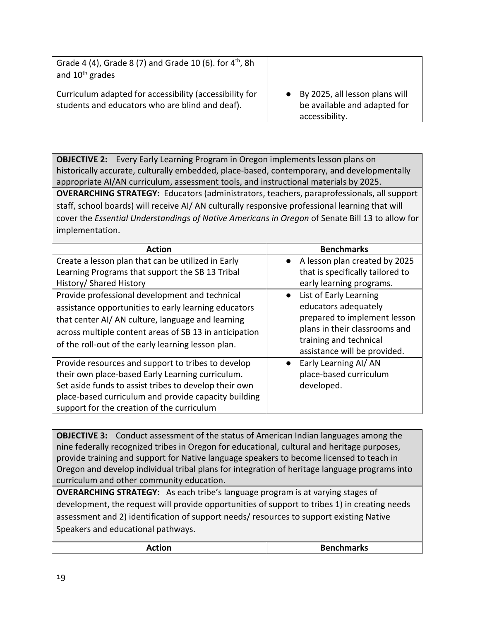| Grade 4 (4), Grade 8 (7) and Grade 10 (6). for $4^{th}$ , 8h<br>and 10 <sup>th</sup> grades                |                                                                                    |
|------------------------------------------------------------------------------------------------------------|------------------------------------------------------------------------------------|
| Curriculum adapted for accessibility (accessibility for<br>students and educators who are blind and deaf). | • By 2025, all lesson plans will<br>be available and adapted for<br>accessibility. |

**OBJECTIVE 2:** Every Early Learning Program in Oregon implements lesson plans on historically accurate, culturally embedded, place-based, contemporary, and developmentally appropriate AI/AN curriculum, assessment tools, and instructional materials by 2025. **OVERARCHING STRATEGY:** Educators (administrators, teachers, paraprofessionals, all support staff, school boards) will receive AI/ AN culturally responsive professional learning that will cover the *Essential Understandings of Native Americans in Oregon* of Senate Bill 13 to allow for implementation.

| <b>Action</b>                                                                                                                                                                                                                                                              | <b>Benchmarks</b>                                                                                                                                                           |
|----------------------------------------------------------------------------------------------------------------------------------------------------------------------------------------------------------------------------------------------------------------------------|-----------------------------------------------------------------------------------------------------------------------------------------------------------------------------|
| Create a lesson plan that can be utilized in Early<br>Learning Programs that support the SB 13 Tribal<br>History/ Shared History                                                                                                                                           | • A lesson plan created by 2025<br>that is specifically tailored to<br>early learning programs.                                                                             |
| Provide professional development and technical<br>assistance opportunities to early learning educators<br>that center AI/AN culture, language and learning<br>across multiple content areas of SB 13 in anticipation<br>of the roll-out of the early learning lesson plan. | • List of Early Learning<br>educators adequately<br>prepared to implement lesson<br>plans in their classrooms and<br>training and technical<br>assistance will be provided. |
| Provide resources and support to tribes to develop<br>their own place-based Early Learning curriculum.<br>Set aside funds to assist tribes to develop their own<br>place-based curriculum and provide capacity building<br>support for the creation of the curriculum      | Early Learning AI/ AN<br>$\bullet$<br>place-based curriculum<br>developed.                                                                                                  |

**OBJECTIVE 3:** Conduct assessment of the status of American Indian languages among the nine federally recognized tribes in Oregon for educational, cultural and heritage purposes, provide training and support for Native language speakers to become licensed to teach in Oregon and develop individual tribal plans for integration of heritage language programs into curriculum and other community education.

**OVERARCHING STRATEGY:** As each tribe's language program is at varying stages of development, the request will provide opportunities of support to tribes 1) in creating needs assessment and 2) identification of support needs/ resources to support existing Native Speakers and educational pathways.

| Action | <b>Benchmarks</b> |
|--------|-------------------|
|--------|-------------------|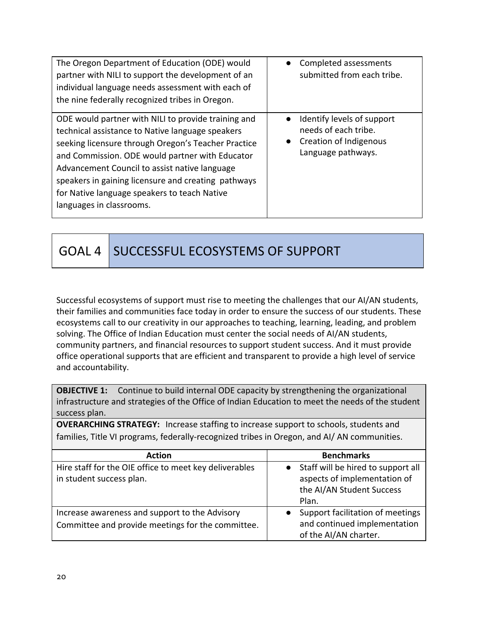| The Oregon Department of Education (ODE) would<br>partner with NILI to support the development of an<br>individual language needs assessment with each of<br>the nine federally recognized tribes in Oregon.                                                                                                                                                                                          | • Completed assessments<br>submitted from each tribe.                                                             |
|-------------------------------------------------------------------------------------------------------------------------------------------------------------------------------------------------------------------------------------------------------------------------------------------------------------------------------------------------------------------------------------------------------|-------------------------------------------------------------------------------------------------------------------|
| ODE would partner with NILI to provide training and<br>technical assistance to Native language speakers<br>seeking licensure through Oregon's Teacher Practice<br>and Commission. ODE would partner with Educator<br>Advancement Council to assist native language<br>speakers in gaining licensure and creating pathways<br>for Native language speakers to teach Native<br>languages in classrooms. | Identify levels of support<br>$\bullet$<br>needs of each tribe.<br>• Creation of Indigenous<br>Language pathways. |

GOAL 4 SUCCESSFUL ECOSYSTEMS OF SUPPORT

Successful ecosystems of support must rise to meeting the challenges that our AI/AN students, their families and communities face today in order to ensure the success of our students. These ecosystems call to our creativity in our approaches to teaching, learning, leading, and problem solving. The Office of Indian Education must center the social needs of AI/AN students, community partners, and financial resources to support student success. And it must provide office operational supports that are efficient and transparent to provide a high level of service and accountability.

**OBJECTIVE 1:** Continue to build internal ODE capacity by strengthening the organizational infrastructure and strategies of the Office of Indian Education to meet the needs of the student success plan.

**OVERARCHING STRATEGY:** Increase staffing to increase support to schools, students and families, Title VI programs, federally-recognized tribes in Oregon, and AI/ AN communities.

| <b>Action</b>                                                                                       | <b>Benchmarks</b>                                                                                          |
|-----------------------------------------------------------------------------------------------------|------------------------------------------------------------------------------------------------------------|
| Hire staff for the OIE office to meet key deliverables<br>in student success plan.                  | • Staff will be hired to support all<br>aspects of implementation of<br>the AI/AN Student Success<br>Plan. |
| Increase awareness and support to the Advisory<br>Committee and provide meetings for the committee. | Support facilitation of meetings<br>and continued implementation<br>of the AI/AN charter.                  |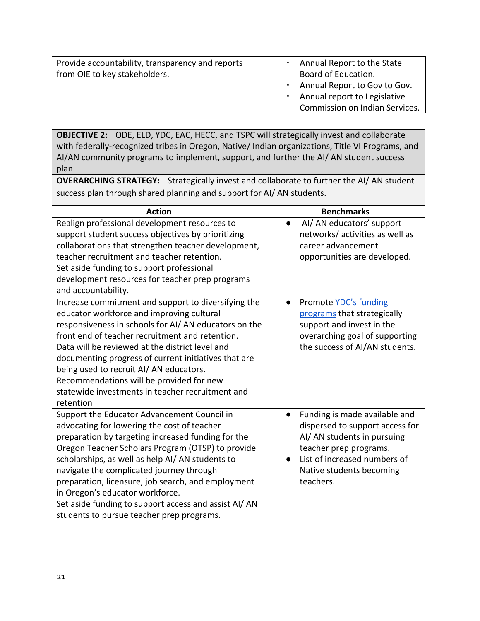| Provide accountability, transparency and reports | $\blacksquare$ | Annual Report to the State     |
|--------------------------------------------------|----------------|--------------------------------|
| from OIE to key stakeholders.                    |                | Board of Education.            |
|                                                  |                | . Annual Report to Gov to Gov. |
|                                                  |                | . Annual report to Legislative |
|                                                  |                | Commission on Indian Services. |
|                                                  |                |                                |

**OBJECTIVE 2:** ODE, ELD, YDC, EAC, HECC, and TSPC will strategically invest and collaborate with federally-recognized tribes in Oregon, Native/ Indian organizations, Title VI Programs, and AI/AN community programs to implement, support, and further the AI/ AN student success plan

**OVERARCHING STRATEGY:** Strategically invest and collaborate to further the AI/ AN student success plan through shared planning and support for AI/ AN students.

| <b>Action</b>                                                                                                                                                                                                                                                                                                                                                                                                                                                                                      | <b>Benchmarks</b>                                                                                                                                                                                  |
|----------------------------------------------------------------------------------------------------------------------------------------------------------------------------------------------------------------------------------------------------------------------------------------------------------------------------------------------------------------------------------------------------------------------------------------------------------------------------------------------------|----------------------------------------------------------------------------------------------------------------------------------------------------------------------------------------------------|
| Realign professional development resources to<br>support student success objectives by prioritizing<br>collaborations that strengthen teacher development,<br>teacher recruitment and teacher retention.<br>Set aside funding to support professional<br>development resources for teacher prep programs<br>and accountability.                                                                                                                                                                    | AI/ AN educators' support<br>networks/activities as well as<br>career advancement<br>opportunities are developed.                                                                                  |
| Increase commitment and support to diversifying the<br>educator workforce and improving cultural<br>responsiveness in schools for AI/AN educators on the<br>front end of teacher recruitment and retention.<br>Data will be reviewed at the district level and<br>documenting progress of current initiatives that are<br>being used to recruit AI/AN educators.<br>Recommendations will be provided for new<br>statewide investments in teacher recruitment and<br>retention                      | Promote YDC's funding<br>$\bullet$<br>programs that strategically<br>support and invest in the<br>overarching goal of supporting<br>the success of AI/AN students.                                 |
| Support the Educator Advancement Council in<br>advocating for lowering the cost of teacher<br>preparation by targeting increased funding for the<br>Oregon Teacher Scholars Program (OTSP) to provide<br>scholarships, as well as help AI/AN students to<br>navigate the complicated journey through<br>preparation, licensure, job search, and employment<br>in Oregon's educator workforce.<br>Set aside funding to support access and assist AI/AN<br>students to pursue teacher prep programs. | Funding is made available and<br>dispersed to support access for<br>Al/ AN students in pursuing<br>teacher prep programs.<br>List of increased numbers of<br>Native students becoming<br>teachers. |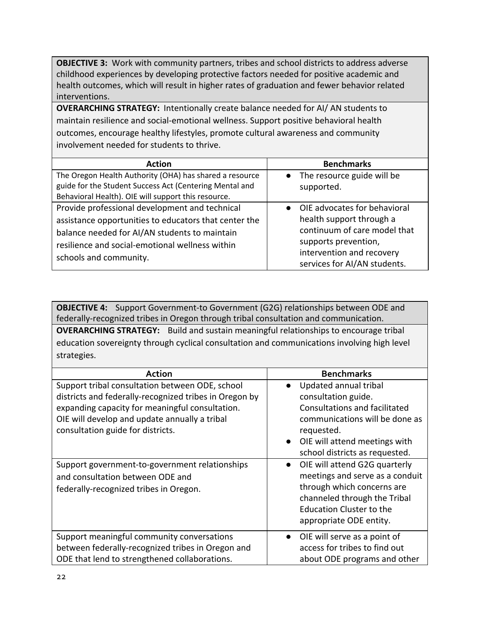**OBJECTIVE 3:** Work with community partners, tribes and school districts to address adverse childhood experiences by developing protective factors needed for positive academic and health outcomes, which will result in higher rates of graduation and fewer behavior related interventions.

**OVERARCHING STRATEGY:** Intentionally create balance needed for AI/ AN students to maintain resilience and social-emotional wellness. Support positive behavioral health outcomes, encourage healthy lifestyles, promote cultural awareness and community involvement needed for students to thrive.

| <b>Action</b>                                                                                                                                                                                                                         | <b>Benchmarks</b>                                                                                                                                                                          |
|---------------------------------------------------------------------------------------------------------------------------------------------------------------------------------------------------------------------------------------|--------------------------------------------------------------------------------------------------------------------------------------------------------------------------------------------|
| The Oregon Health Authority (OHA) has shared a resource<br>guide for the Student Success Act (Centering Mental and<br>Behavioral Health). OIE will support this resource.                                                             | The resource guide will be<br>$\bullet$<br>supported.                                                                                                                                      |
| Provide professional development and technical<br>assistance opportunities to educators that center the<br>balance needed for AI/AN students to maintain<br>resilience and social-emotional wellness within<br>schools and community. | OIE advocates for behavioral<br>$\bullet$<br>health support through a<br>continuum of care model that<br>supports prevention,<br>intervention and recovery<br>services for AI/AN students. |

**OBJECTIVE 4:** Support Government-to Government (G2G) relationships between ODE and federally-recognized tribes in Oregon through tribal consultation and communication.

**OVERARCHING STRATEGY:** Build and sustain meaningful relationships to encourage tribal education sovereignty through cyclical consultation and communications involving high level strategies.

| <b>Action</b>                                                                                                                                                                                                                                                                                        | <b>Benchmarks</b>                                                                                                                                                                                                                                                             |
|------------------------------------------------------------------------------------------------------------------------------------------------------------------------------------------------------------------------------------------------------------------------------------------------------|-------------------------------------------------------------------------------------------------------------------------------------------------------------------------------------------------------------------------------------------------------------------------------|
| Support tribal consultation between ODE, school<br>districts and federally-recognized tribes in Oregon by<br>expanding capacity for meaningful consultation.<br>OIE will develop and update annually a tribal<br>consultation guide for districts.<br>Support government-to-government relationships | Updated annual tribal<br>consultation guide.<br><b>Consultations and facilitated</b><br>communications will be done as<br>requested.<br>• OIE will attend meetings with<br>school districts as requested.<br>OIE will attend G2G quarterly<br>meetings and serve as a conduit |
| and consultation between ODE and<br>federally-recognized tribes in Oregon.                                                                                                                                                                                                                           | through which concerns are<br>channeled through the Tribal<br><b>Education Cluster to the</b><br>appropriate ODE entity.                                                                                                                                                      |
| Support meaningful community conversations<br>between federally-recognized tribes in Oregon and<br>ODE that lend to strengthened collaborations.                                                                                                                                                     | OIE will serve as a point of<br>access for tribes to find out<br>about ODE programs and other                                                                                                                                                                                 |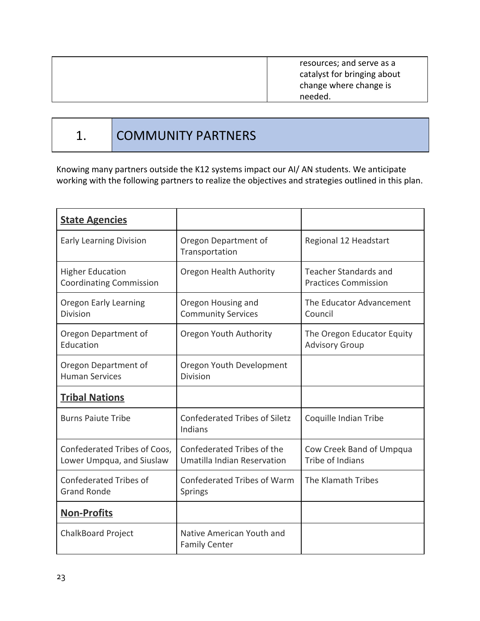resources; and serve as a catalyst for bringing about change where change is needed.

## 1. COMMUNITY PARTNERS

Knowing many partners outside the K12 systems impact our AI/ AN students. We anticipate working with the following partners to realize the objectives and strategies outlined in this plan.

| <b>State Agencies</b>                                     |                                                           |                                                             |
|-----------------------------------------------------------|-----------------------------------------------------------|-------------------------------------------------------------|
| <b>Early Learning Division</b>                            | Oregon Department of<br>Transportation                    | Regional 12 Headstart                                       |
| <b>Higher Education</b><br><b>Coordinating Commission</b> | Oregon Health Authority                                   | <b>Teacher Standards and</b><br><b>Practices Commission</b> |
| <b>Oregon Early Learning</b><br><b>Division</b>           | Oregon Housing and<br><b>Community Services</b>           | The Educator Advancement<br>Council                         |
| Oregon Department of<br>Education                         | Oregon Youth Authority                                    | The Oregon Educator Equity<br><b>Advisory Group</b>         |
| Oregon Department of<br><b>Human Services</b>             | Oregon Youth Development<br><b>Division</b>               |                                                             |
| <b>Tribal Nations</b>                                     |                                                           |                                                             |
| <b>Burns Paiute Tribe</b>                                 | <b>Confederated Tribes of Siletz</b><br>Indians           | Coquille Indian Tribe                                       |
| Confederated Tribes of Coos,<br>Lower Umpqua, and Siuslaw | Confederated Tribes of the<br>Umatilla Indian Reservation | Cow Creek Band of Umpqua<br>Tribe of Indians                |
| Confederated Tribes of<br><b>Grand Ronde</b>              | Confederated Tribes of Warm<br>Springs                    | The Klamath Tribes                                          |
| <b>Non-Profits</b>                                        |                                                           |                                                             |
| <b>ChalkBoard Project</b>                                 | Native American Youth and<br><b>Family Center</b>         |                                                             |